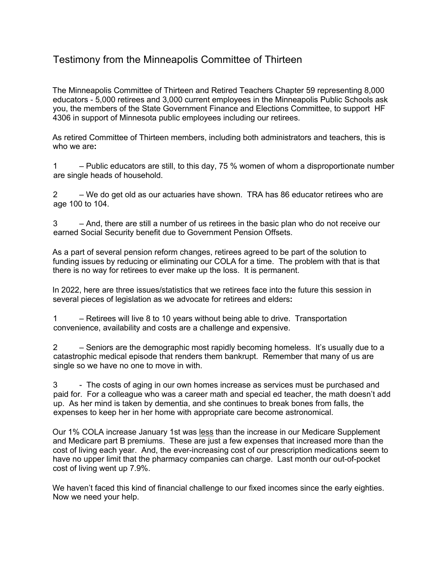## Testimony from the Minneapolis Committee of Thirteen

The Minneapolis Committee of Thirteen and Retired Teachers Chapter 59 representing 8,000 educators - 5,000 retirees and 3,000 current employees in the Minneapolis Public Schools ask you, the members of the State Government Finance and Elections Committee, to support HF 4306 in support of Minnesota public employees including our retirees.

As retired Committee of Thirteen members, including both administrators and teachers, this is who we are**:** 

1 – Public educators are still, to this day, 75 % women of whom a disproportionate number are single heads of household.

2 – We do get old as our actuaries have shown. TRA has 86 educator retirees who are age 100 to 104.

3 – And, there are still a number of us retirees in the basic plan who do not receive our earned Social Security benefit due to Government Pension Offsets.

As a part of several pension reform changes, retirees agreed to be part of the solution to funding issues by reducing or eliminating our COLA for a time. The problem with that is that there is no way for retirees to ever make up the loss. It is permanent.

In 2022, here are three issues/statistics that we retirees face into the future this session in several pieces of legislation as we advocate for retirees and elders**:**

1 – Retirees will live 8 to 10 years without being able to drive. Transportation convenience, availability and costs are a challenge and expensive.

2 – Seniors are the demographic most rapidly becoming homeless. It's usually due to a catastrophic medical episode that renders them bankrupt. Remember that many of us are single so we have no one to move in with.

3 - The costs of aging in our own homes increase as services must be purchased and paid for. For a colleague who was a career math and special ed teacher, the math doesn't add up. As her mind is taken by dementia, and she continues to break bones from falls, the expenses to keep her in her home with appropriate care become astronomical.

Our 1% COLA increase January 1st was less than the increase in our Medicare Supplement and Medicare part B premiums. These are just a few expenses that increased more than the cost of living each year. And, the ever-increasing cost of our prescription medications seem to have no upper limit that the pharmacy companies can charge. Last month our out-of-pocket cost of living went up 7.9%.

We haven't faced this kind of financial challenge to our fixed incomes since the early eighties. Now we need your help.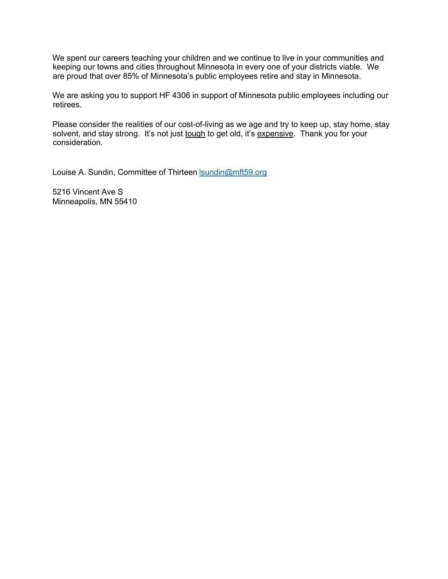We spent our careers teaching your children and we continue to live in your communities and keeping our towns and cities throughout Minnesota in every one of your districts viable. We are proud that over 85% of Minnesota's public employees retire and stay in Minnesota.

We are asking you to support HF 4306 in support of Minnesota public employees including our retirees.

Please consider the realities of our cost-of-living as we age and try to keep up, stay home, stay solvent, and stay strong. It's not just tough to get old, it's expensive. Thank you for your consideration.

Louise A. Sundin, Committee of Thirteen **Isundin@mft59.org** 

5216 Vincent Ave S Minneapolis, MN 55410